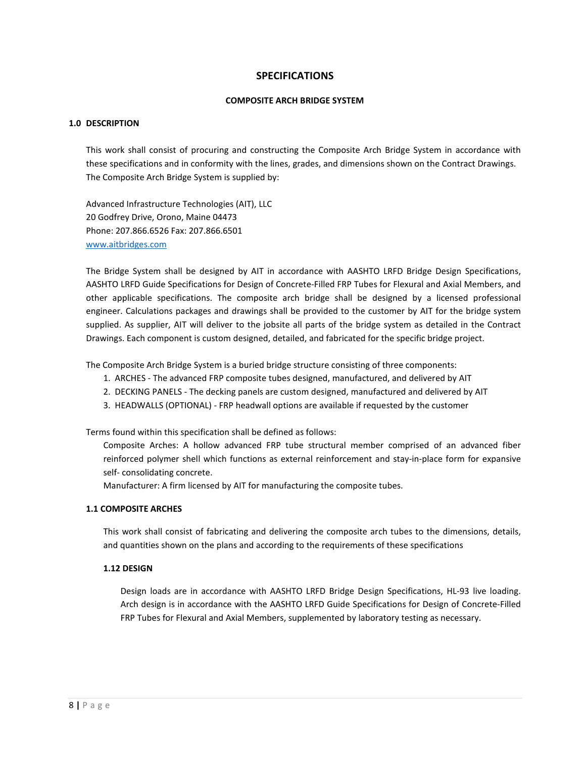# **SPECIFICATIONS**

### **COMPOSITE ARCH BRIDGE SYSTEM**

## **1.0 DESCRIPTION**

This work shall consist of procuring and constructing the Composite Arch Bridge System in accordance with these specifications and in conformity with the lines, grades, and dimensions shown on the Contract Drawings. The Composite Arch Bridge System is supplied by:

Advanced Infrastructure Technologies (AIT), LLC 20 Godfrey Drive, Orono, Maine 04473 Phone: 207.866.6526 Fax: 207.866.6501 www.aitbridges.com

The Bridge System shall be designed by AIT in accordance with AASHTO LRFD Bridge Design Specifications, AASHTO LRFD Guide Specifications for Design of Concrete-Filled FRP Tubes for Flexural and Axial Members, and other applicable specifications. The composite arch bridge shall be designed by a licensed professional engineer. Calculations packages and drawings shall be provided to the customer by AIT for the bridge system supplied. As supplier, AIT will deliver to the jobsite all parts of the bridge system as detailed in the Contract Drawings. Each component is custom designed, detailed, and fabricated for the specific bridge project.

The Composite Arch Bridge System is a buried bridge structure consisting of three components:

- 1. ARCHES The advanced FRP composite tubes designed, manufactured, and delivered by AIT
- 2. DECKING PANELS The decking panels are custom designed, manufactured and delivered by AIT
- 3. HEADWALLS (OPTIONAL) FRP headwall options are available if requested by the customer

Terms found within this specification shall be defined as follows:

Composite Arches: A hollow advanced FRP tube structural member comprised of an advanced fiber reinforced polymer shell which functions as external reinforcement and stay-in-place form for expansive self- consolidating concrete.

Manufacturer: A firm licensed by AIT for manufacturing the composite tubes.

### **1.1 COMPOSITE ARCHES**

This work shall consist of fabricating and delivering the composite arch tubes to the dimensions, details, and quantities shown on the plans and according to the requirements of these specifications

## **1.12 DESIGN**

Design loads are in accordance with AASHTO LRFD Bridge Design Specifications, HL-93 live loading. Arch design is in accordance with the AASHTO LRFD Guide Specifications for Design of Concrete-Filled FRP Tubes for Flexural and Axial Members, supplemented by laboratory testing as necessary.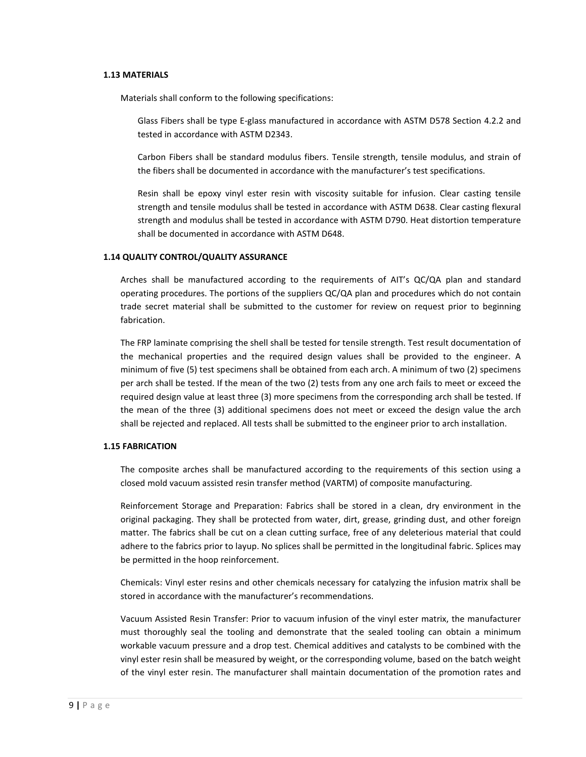#### **1.13 MATERIALS**

Materials shall conform to the following specifications:

Glass Fibers shall be type E-glass manufactured in accordance with ASTM D578 Section 4.2.2 and tested in accordance with ASTM D2343.

Carbon Fibers shall be standard modulus fibers. Tensile strength, tensile modulus, and strain of the fibers shall be documented in accordance with the manufacturer's test specifications.

Resin shall be epoxy vinyl ester resin with viscosity suitable for infusion. Clear casting tensile strength and tensile modulus shall be tested in accordance with ASTM D638. Clear casting flexural strength and modulus shall be tested in accordance with ASTM D790. Heat distortion temperature shall be documented in accordance with ASTM D648.

#### **1.14 QUALITY CONTROL/QUALITY ASSURANCE**

Arches shall be manufactured according to the requirements of AIT's QC/QA plan and standard operating procedures. The portions of the suppliers QC/QA plan and procedures which do not contain trade secret material shall be submitted to the customer for review on request prior to beginning fabrication.

The FRP laminate comprising the shell shall be tested for tensile strength. Test result documentation of the mechanical properties and the required design values shall be provided to the engineer. A minimum of five (5) test specimens shall be obtained from each arch. A minimum of two (2) specimens per arch shall be tested. If the mean of the two (2) tests from any one arch fails to meet or exceed the required design value at least three (3) more specimens from the corresponding arch shall be tested. If the mean of the three (3) additional specimens does not meet or exceed the design value the arch shall be rejected and replaced. All tests shall be submitted to the engineer prior to arch installation.

#### **1.15 FABRICATION**

The composite arches shall be manufactured according to the requirements of this section using a closed mold vacuum assisted resin transfer method (VARTM) of composite manufacturing.

Reinforcement Storage and Preparation: Fabrics shall be stored in a clean, dry environment in the original packaging. They shall be protected from water, dirt, grease, grinding dust, and other foreign matter. The fabrics shall be cut on a clean cutting surface, free of any deleterious material that could adhere to the fabrics prior to layup. No splices shall be permitted in the longitudinal fabric. Splices may be permitted in the hoop reinforcement.

Chemicals: Vinyl ester resins and other chemicals necessary for catalyzing the infusion matrix shall be stored in accordance with the manufacturer's recommendations.

Vacuum Assisted Resin Transfer: Prior to vacuum infusion of the vinyl ester matrix, the manufacturer must thoroughly seal the tooling and demonstrate that the sealed tooling can obtain a minimum workable vacuum pressure and a drop test. Chemical additives and catalysts to be combined with the vinyl ester resin shall be measured by weight, or the corresponding volume, based on the batch weight of the vinyl ester resin. The manufacturer shall maintain documentation of the promotion rates and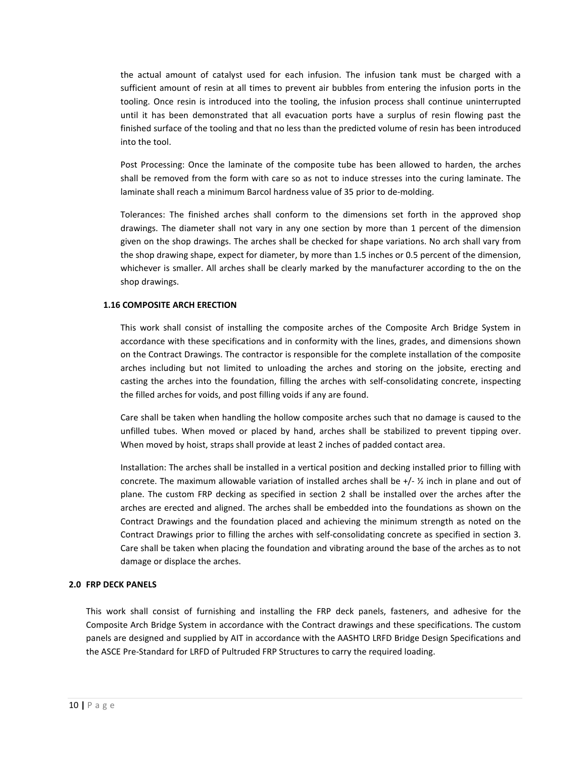the actual amount of catalyst used for each infusion. The infusion tank must be charged with a sufficient amount of resin at all times to prevent air bubbles from entering the infusion ports in the tooling. Once resin is introduced into the tooling, the infusion process shall continue uninterrupted until it has been demonstrated that all evacuation ports have a surplus of resin flowing past the finished surface of the tooling and that no less than the predicted volume of resin has been introduced into the tool.

Post Processing: Once the laminate of the composite tube has been allowed to harden, the arches shall be removed from the form with care so as not to induce stresses into the curing laminate. The laminate shall reach a minimum Barcol hardness value of 35 prior to de-molding.

Tolerances: The finished arches shall conform to the dimensions set forth in the approved shop drawings. The diameter shall not vary in any one section by more than 1 percent of the dimension given on the shop drawings. The arches shall be checked for shape variations. No arch shall vary from the shop drawing shape, expect for diameter, by more than 1.5 inches or 0.5 percent of the dimension, whichever is smaller. All arches shall be clearly marked by the manufacturer according to the on the shop drawings.

### **1.16 COMPOSITE ARCH ERECTION**

This work shall consist of installing the composite arches of the Composite Arch Bridge System in accordance with these specifications and in conformity with the lines, grades, and dimensions shown on the Contract Drawings. The contractor is responsible for the complete installation of the composite arches including but not limited to unloading the arches and storing on the jobsite, erecting and casting the arches into the foundation, filling the arches with self-consolidating concrete, inspecting the filled arches for voids, and post filling voids if any are found.

Care shall be taken when handling the hollow composite arches such that no damage is caused to the unfilled tubes. When moved or placed by hand, arches shall be stabilized to prevent tipping over. When moved by hoist, straps shall provide at least 2 inches of padded contact area.

Installation: The arches shall be installed in a vertical position and decking installed prior to filling with concrete. The maximum allowable variation of installed arches shall be  $+/-$  % inch in plane and out of plane. The custom FRP decking as specified in section 2 shall be installed over the arches after the arches are erected and aligned. The arches shall be embedded into the foundations as shown on the Contract Drawings and the foundation placed and achieving the minimum strength as noted on the Contract Drawings prior to filling the arches with self-consolidating concrete as specified in section 3. Care shall be taken when placing the foundation and vibrating around the base of the arches as to not damage or displace the arches.

#### **2.0 FRP DECK PANELS**

This work shall consist of furnishing and installing the FRP deck panels, fasteners, and adhesive for the Composite Arch Bridge System in accordance with the Contract drawings and these specifications. The custom panels are designed and supplied by AIT in accordance with the AASHTO LRFD Bridge Design Specifications and the ASCE Pre-Standard for LRFD of Pultruded FRP Structures to carry the required loading.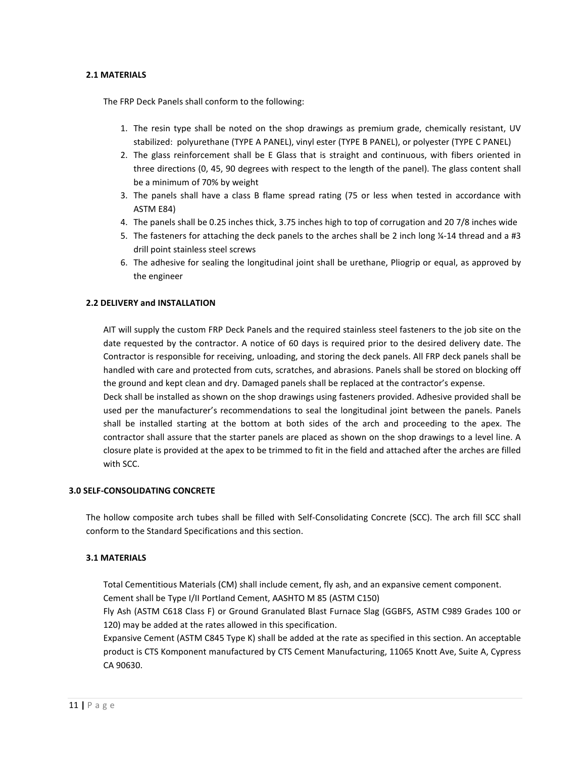### **2.1 MATERIALS**

The FRP Deck Panels shall conform to the following:

- 1. The resin type shall be noted on the shop drawings as premium grade, chemically resistant, UV stabilized: polyurethane (TYPE A PANEL), vinyl ester (TYPE B PANEL), or polyester (TYPE C PANEL)
- 2. The glass reinforcement shall be E Glass that is straight and continuous, with fibers oriented in three directions (0, 45, 90 degrees with respect to the length of the panel). The glass content shall be a minimum of 70% by weight
- 3. The panels shall have a class B flame spread rating (75 or less when tested in accordance with ASTM E84)
- 4. The panels shall be 0.25 inches thick, 3.75 inches high to top of corrugation and 20 7/8 inches wide
- 5. The fasteners for attaching the deck panels to the arches shall be 2 inch long  $\frac{1}{4}$ -14 thread and a #3 drill point stainless steel screws
- 6. The adhesive for sealing the longitudinal joint shall be urethane, Pliogrip or equal, as approved by the engineer

## **2.2 DELIVERY and INSTALLATION**

AIT will supply the custom FRP Deck Panels and the required stainless steel fasteners to the job site on the date requested by the contractor. A notice of 60 days is required prior to the desired delivery date. The Contractor is responsible for receiving, unloading, and storing the deck panels. All FRP deck panels shall be handled with care and protected from cuts, scratches, and abrasions. Panels shall be stored on blocking off the ground and kept clean and dry. Damaged panels shall be replaced at the contractor's expense.

Deck shall be installed as shown on the shop drawings using fasteners provided. Adhesive provided shall be used per the manufacturer's recommendations to seal the longitudinal joint between the panels. Panels shall be installed starting at the bottom at both sides of the arch and proceeding to the apex. The contractor shall assure that the starter panels are placed as shown on the shop drawings to a level line. A closure plate is provided at the apex to be trimmed to fit in the field and attached after the arches are filled with SCC.

### **3.0 SELF-CONSOLIDATING CONCRETE**

The hollow composite arch tubes shall be filled with Self-Consolidating Concrete (SCC). The arch fill SCC shall conform to the Standard Specifications and this section.

#### **3.1 MATERIALS**

Total Cementitious Materials (CM) shall include cement, fly ash, and an expansive cement component. Cement shall be Type I/II Portland Cement, AASHTO M 85 (ASTM C150)

Fly Ash (ASTM C618 Class F) or Ground Granulated Blast Furnace Slag (GGBFS, ASTM C989 Grades 100 or 120) may be added at the rates allowed in this specification.

Expansive Cement (ASTM C845 Type K) shall be added at the rate as specified in this section. An acceptable product is CTS Komponent manufactured by CTS Cement Manufacturing, 11065 Knott Ave, Suite A, Cypress CA 90630.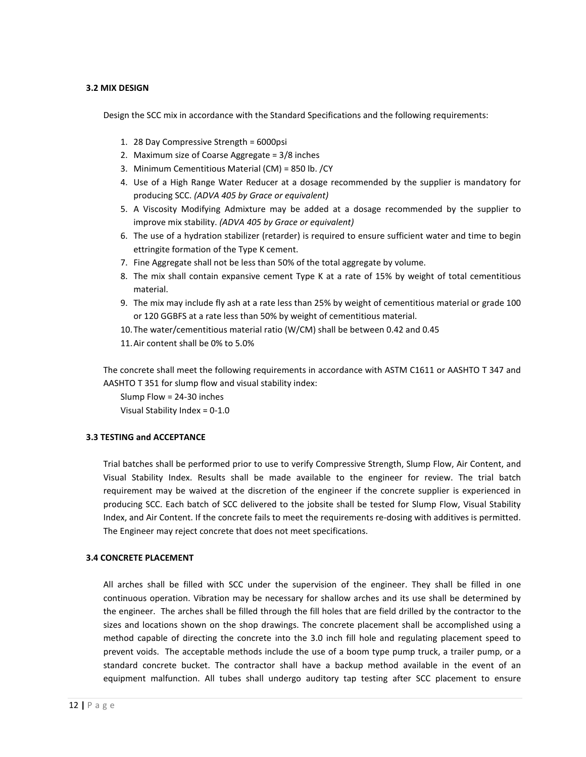### **3.2 MIX DESIGN**

Design the SCC mix in accordance with the Standard Specifications and the following requirements:

- 1. 28 Day Compressive Strength = 6000psi
- 2. Maximum size of Coarse Aggregate = 3/8 inches
- 3. Minimum Cementitious Material (CM) = 850 lb. /CY
- 4. Use of a High Range Water Reducer at a dosage recommended by the supplier is mandatory for producing SCC. *(ADVA 405 by Grace or equivalent)*
- 5. A Viscosity Modifying Admixture may be added at a dosage recommended by the supplier to improve mix stability. *(ADVA 405 by Grace or equivalent)*
- 6. The use of a hydration stabilizer (retarder) is required to ensure sufficient water and time to begin ettringite formation of the Type K cement.
- 7. Fine Aggregate shall not be less than 50% of the total aggregate by volume.
- 8. The mix shall contain expansive cement Type K at a rate of 15% by weight of total cementitious material.
- 9. The mix may include fly ash at a rate less than 25% by weight of cementitious material or grade 100 or 120 GGBFS at a rate less than 50% by weight of cementitious material.
- 10.The water/cementitious material ratio (W/CM) shall be between 0.42 and 0.45
- 11.Air content shall be 0% to 5.0%

The concrete shall meet the following requirements in accordance with ASTM C1611 or AASHTO T 347 and AASHTO T 351 for slump flow and visual stability index:

Slump Flow = 24-30 inches Visual Stability Index = 0-1.0

## **3.3 TESTING and ACCEPTANCE**

Trial batches shall be performed prior to use to verify Compressive Strength, Slump Flow, Air Content, and Visual Stability Index. Results shall be made available to the engineer for review. The trial batch requirement may be waived at the discretion of the engineer if the concrete supplier is experienced in producing SCC. Each batch of SCC delivered to the jobsite shall be tested for Slump Flow, Visual Stability Index, and Air Content. If the concrete fails to meet the requirements re-dosing with additives is permitted. The Engineer may reject concrete that does not meet specifications.

## **3.4 CONCRETE PLACEMENT**

All arches shall be filled with SCC under the supervision of the engineer. They shall be filled in one continuous operation. Vibration may be necessary for shallow arches and its use shall be determined by the engineer. The arches shall be filled through the fill holes that are field drilled by the contractor to the sizes and locations shown on the shop drawings. The concrete placement shall be accomplished using a method capable of directing the concrete into the 3.0 inch fill hole and regulating placement speed to prevent voids. The acceptable methods include the use of a boom type pump truck, a trailer pump, or a standard concrete bucket. The contractor shall have a backup method available in the event of an equipment malfunction. All tubes shall undergo auditory tap testing after SCC placement to ensure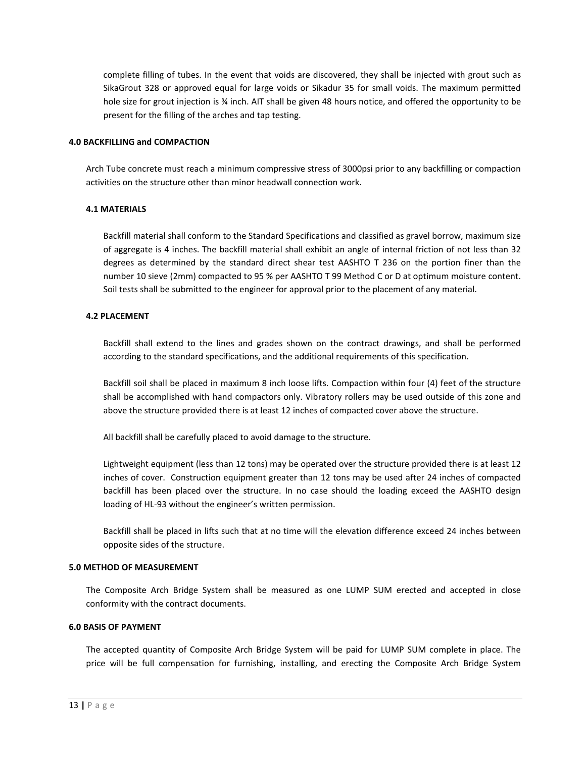complete filling of tubes. In the event that voids are discovered, they shall be injected with grout such as SikaGrout 328 or approved equal for large voids or Sikadur 35 for small voids. The maximum permitted hole size for grout injection is % inch. AIT shall be given 48 hours notice, and offered the opportunity to be present for the filling of the arches and tap testing.

### **4.0 BACKFILLING and COMPACTION**

Arch Tube concrete must reach a minimum compressive stress of 3000psi prior to any backfilling or compaction activities on the structure other than minor headwall connection work.

### **4.1 MATERIALS**

Backfill material shall conform to the Standard Specifications and classified as gravel borrow, maximum size of aggregate is 4 inches. The backfill material shall exhibit an angle of internal friction of not less than 32 degrees as determined by the standard direct shear test AASHTO T 236 on the portion finer than the number 10 sieve (2mm) compacted to 95 % per AASHTO T 99 Method C or D at optimum moisture content. Soil tests shall be submitted to the engineer for approval prior to the placement of any material.

## **4.2 PLACEMENT**

Backfill shall extend to the lines and grades shown on the contract drawings, and shall be performed according to the standard specifications, and the additional requirements of this specification.

Backfill soil shall be placed in maximum 8 inch loose lifts. Compaction within four (4) feet of the structure shall be accomplished with hand compactors only. Vibratory rollers may be used outside of this zone and above the structure provided there is at least 12 inches of compacted cover above the structure.

All backfill shall be carefully placed to avoid damage to the structure.

Lightweight equipment (less than 12 tons) may be operated over the structure provided there is at least 12 inches of cover. Construction equipment greater than 12 tons may be used after 24 inches of compacted backfill has been placed over the structure. In no case should the loading exceed the AASHTO design loading of HL-93 without the engineer's written permission.

Backfill shall be placed in lifts such that at no time will the elevation difference exceed 24 inches between opposite sides of the structure.

## **5.0 METHOD OF MEASUREMENT**

The Composite Arch Bridge System shall be measured as one LUMP SUM erected and accepted in close conformity with the contract documents.

#### **6.0 BASIS OF PAYMENT**

The accepted quantity of Composite Arch Bridge System will be paid for LUMP SUM complete in place. The price will be full compensation for furnishing, installing, and erecting the Composite Arch Bridge System